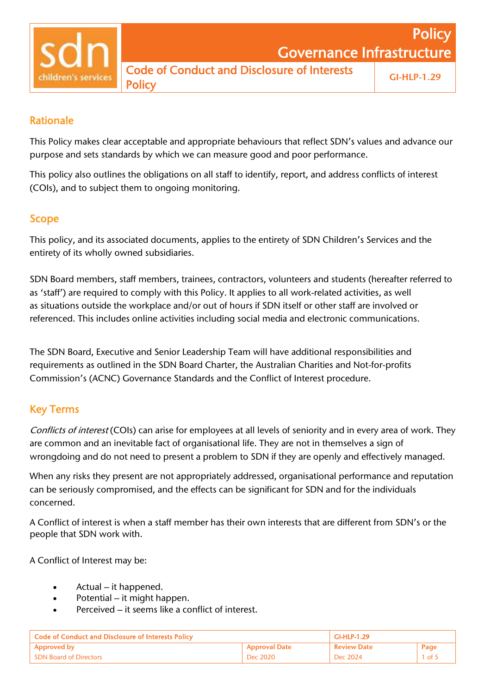

# Rationale

This Policy makes clear acceptable and appropriate behaviours that reflect SDN's values and advance our purpose and sets standards by which we can measure good and poor performance.

This policy also outlines the obligations on all staff to identify, report, and address conflicts of interest (COIs), and to subject them to ongoing monitoring.

# Scope

This policy, and its associated documents, applies to the entirety of SDN Children's Services and the entirety of its wholly owned subsidiaries.

SDN Board members, staff members, trainees, contractors, volunteers and students (hereafter referred to as 'staff') are required to comply with this Policy. It applies to all work-related activities, as well as situations outside the workplace and/or out of hours if SDN itself or other staff are involved or referenced. This includes online activities including social media and electronic communications.

The SDN Board, Executive and Senior Leadership Team will have additional responsibilities and requirements as outlined in the SDN Board Charter, the Australian Charities and Not-for-profits Commission's (ACNC) Governance Standards and the Conflict of Interest procedure.

# Key Terms

Conflicts of interest (COIs) can arise for employees at all levels of seniority and in every area of work. They are common and an inevitable fact of organisational life. They are not in themselves a sign of wrongdoing and do not need to present a problem to SDN if they are openly and effectively managed.

When any risks they present are not appropriately addressed, organisational performance and reputation can be seriously compromised, and the effects can be significant for SDN and for the individuals concerned.

A Conflict of interest is when a staff member has their own interests that are different from SDN's or the people that SDN work with.

A Conflict of Interest may be:

- Actual it happened.
- Potential it might happen.
- Perceived it seems like a conflict of interest.

| <b>Code of Conduct and Disclosure of Interests Policy</b> |                      | <b>GI-HLP-1.29</b> |          |
|-----------------------------------------------------------|----------------------|--------------------|----------|
| <b>Approved by</b>                                        | <b>Approval Date</b> | <b>Review Date</b> | Page     |
| <b>SDN Board of Directors</b>                             | Dec 2020             | Dec 2024           | $1$ of 5 |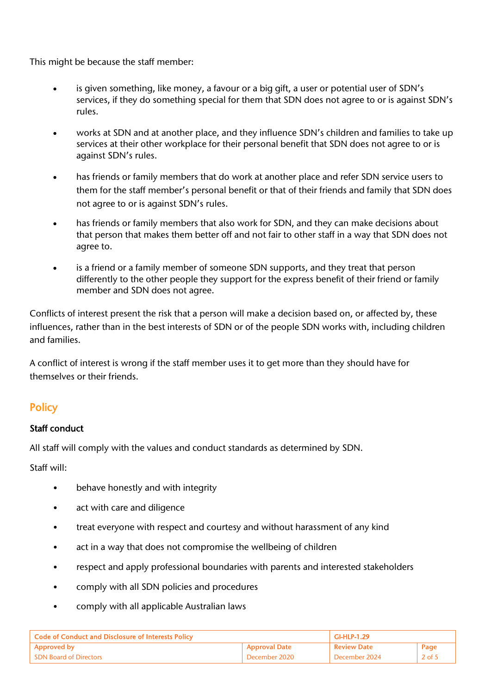This might be because the staff member:

- is given something, like money, a favour or a big gift, a user or potential user of SDN's services, if they do something special for them that SDN does not agree to or is against SDN's rules.
- works at SDN and at another place, and they influence SDN's children and families to take up services at their other workplace for their personal benefit that SDN does not agree to or is against SDN's rules.
- has friends or family members that do work at another place and refer SDN service users to them for the staff member's personal benefit or that of their friends and family that SDN does not agree to or is against SDN's rules.
- has friends or family members that also work for SDN, and they can make decisions about that person that makes them better off and not fair to other staff in a way that SDN does not agree to.
- is a friend or a family member of someone SDN supports, and they treat that person differently to the other people they support for the express benefit of their friend or family member and SDN does not agree.

Conflicts of interest present the risk that a person will make a decision based on, or affected by, these influences, rather than in the best interests of SDN or of the people SDN works with, including children and families.

A conflict of interest is wrong if the staff member uses it to get more than they should have for themselves or their friends.

# **Policy**

#### Staff conduct

All staff will comply with the values and conduct standards as determined by SDN.

Staff will:

- behave honestly and with integrity
- act with care and diligence
- treat everyone with respect and courtesy and without harassment of any kind
- act in a way that does not compromise the wellbeing of children
- respect and apply professional boundaries with parents and interested stakeholders
- comply with all SDN policies and procedures
- comply with all applicable Australian laws

| <b>Code of Conduct and Disclosure of Interests Policy</b> |                            | <b>GI-HLP-1.29</b> |        |
|-----------------------------------------------------------|----------------------------|--------------------|--------|
| Approved by                                               | <sup>1</sup> Approval Date | <b>Review Date</b> | Page   |
| <b>SDN Board of Directors</b>                             | December 2020              | December 2024      | 2 of 5 |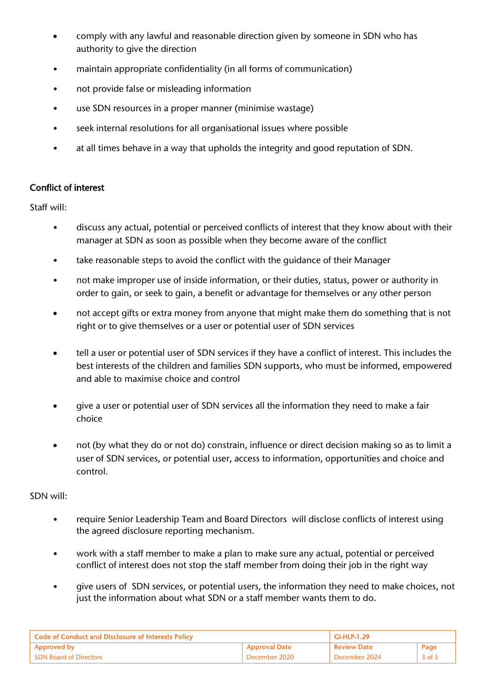- comply with any lawful and reasonable direction given by someone in SDN who has authority to give the direction
- maintain appropriate confidentiality (in all forms of communication)
- not provide false or misleading information
- use SDN resources in a proper manner (minimise wastage)
- seek internal resolutions for all organisational issues where possible
- at all times behave in a way that upholds the integrity and good reputation of SDN.

#### Conflict of interest

Staff will:

- discuss any actual, potential or perceived conflicts of interest that they know about with their manager at SDN as soon as possible when they become aware of the conflict
- take reasonable steps to avoid the conflict with the guidance of their Manager
- not make improper use of inside information, or their duties, status, power or authority in order to gain, or seek to gain, a benefit or advantage for themselves or any other person
- not accept gifts or extra money from anyone that might make them do something that is not right or to give themselves or a user or potential user of SDN services
- tell a user or potential user of SDN services if they have a conflict of interest. This includes the best interests of the children and families SDN supports, who must be informed, empowered and able to maximise choice and control
- give a user or potential user of SDN services all the information they need to make a fair choice
- not (by what they do or not do) constrain, influence or direct decision making so as to limit a user of SDN services, or potential user, access to information, opportunities and choice and control.

#### SDN will:

- require Senior Leadership Team and Board Directors will disclose conflicts of interest using the agreed disclosure reporting mechanism.
- work with a staff member to make a plan to make sure any actual, potential or perceived conflict of interest does not stop the staff member from doing their job in the right way
- give users of SDN services, or potential users, the information they need to make choices, not just the information about what SDN or a staff member wants them to do.

| <b>Code of Conduct and Disclosure of Interests Policy</b> |                | GI-HLP-1.29        |                   |
|-----------------------------------------------------------|----------------|--------------------|-------------------|
| <b>Approved by</b>                                        | 'Approval Date | <b>Review Date</b> | Page              |
| <b>SDN Board of Directors</b>                             | December 2020  | December 2024      | $3$ of $\ddot{.}$ |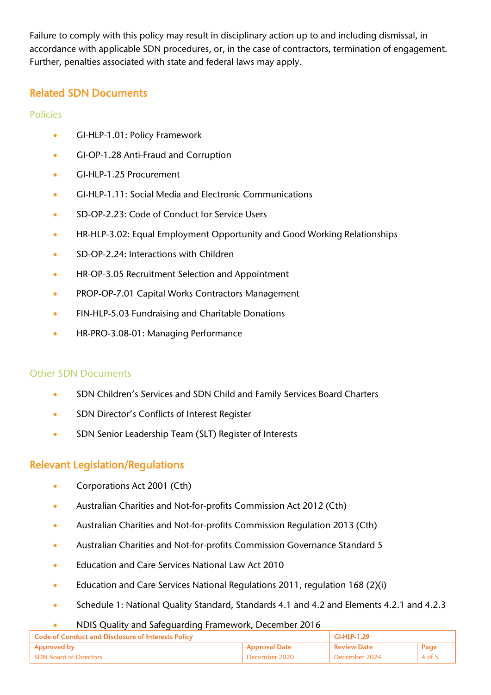Failure to comply with this policy may result in disciplinary action up to and including dismissal, in accordance with applicable SDN procedures, or, in the case of contractors, termination of engagement. Further, penalties associated with state and federal laws may apply.

# Related SDN Documents

### Policies

- GI-HLP-1.01: Policy Framework
- GI-OP-1.28 Anti-Fraud and Corruption
- GI-HLP-1.25 Procurement
- GI-HLP-1.11: Social Media and Electronic Communications
- SD-OP-2.23: Code of Conduct for Service Users
- HR-HLP-3.02: Equal Employment Opportunity and Good Working Relationships
- SD-OP-2.24: Interactions with Children
- HR-OP-3.05 Recruitment Selection and Appointment
- PROP-OP-7.01 Capital Works Contractors Management
- FIN-HLP-5.03 Fundraising and Charitable Donations
- HR-PRO-3.08-01: Managing Performance

#### Other SDN Documents

- SDN Children's Services and SDN Child and Family Services Board Charters
- SDN Director's Conflicts of Interest Register
- SDN Senior Leadership Team (SLT) Register of Interests

# Relevant Legislation/Regulations

- Corporations Act 2001 (Cth)
- Australian Charities and Not-for-profits Commission Act 2012 (Cth)
- Australian Charities and Not-for-profits Commission Regulation 2013 (Cth)
- Australian Charities and Not-for-profits Commission Governance Standard 5
- **Education and Care Services National Law Act 2010**
- Education and Care Services National Regulations 2011, regulation 168 (2)(i)
- Schedule 1: National Quality Standard, Standards 4.1 and 4.2 and Elements 4.2.1 and 4.2.3

#### • NDIS Quality and Safeguarding Framework, December 2016

| Code of Conduct and Disclosure of Interests Policy |                      | GI-HLP-1.29        |        |
|----------------------------------------------------|----------------------|--------------------|--------|
| <b>Approved by</b>                                 | <b>Approval Date</b> | <b>Review Date</b> | Page   |
| <b>SDN Board of Directors</b>                      | December 2020        | December 2024      | 4 of 5 |